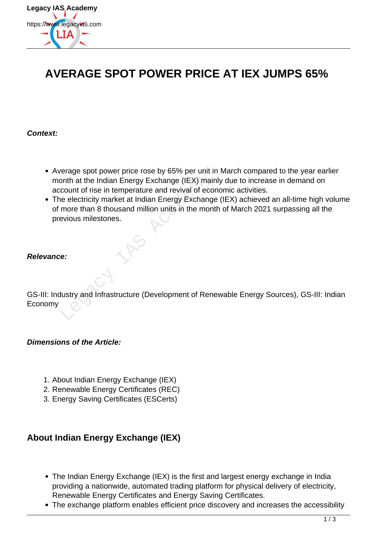

# **AVERAGE SPOT POWER PRICE AT IEX JUMPS 65%**

#### **Context:**

- Average spot power price rose by 65% per unit in March compared to the year earlier month at the Indian Energy Exchange (IEX) mainly due to increase in demand on account of rise in temperature and revival of economic activities.
- The electricity market at Indian Energy Exchange (IEX) achieved an all-time high volume of more than 8 thousand million units in the month of March 2021 surpassing all the previous milestones. erage spot power pince rose by 05% per unit in<br>
onth at the Indian Energy Exchange (IEX) main<br>
count of rise in temperature and revival of ecoile<br>
electricity market at Indian Energy Exchange<br>
more than 8 thousand million

### **Relevance:**

GS-III: Industry and Infrastructure (Development of Renewable Energy Sources), GS-III: Indian Economy

#### **Dimensions of the Article:**

- 1. About Indian Energy Exchange (IEX)
- 2. Renewable Energy Certificates (REC)
- 3. Energy Saving Certificates (ESCerts)

### **About Indian Energy Exchange (IEX)**

- The Indian Energy Exchange (IEX) is the first and largest energy exchange in India providing a nationwide, automated trading platform for physical delivery of electricity, Renewable Energy Certificates and Energy Saving Certificates.
- The exchange platform enables efficient price discovery and increases the accessibility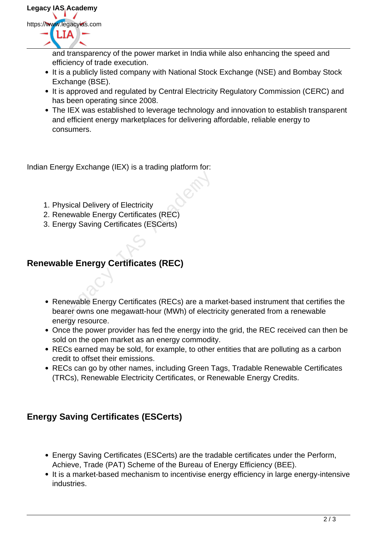

and transparency of the power market in India while also enhancing the speed and efficiency of trade execution.

- It is a publicly listed company with National Stock Exchange (NSE) and Bombay Stock Exchange (BSE).
- It is approved and regulated by Central Electricity Regulatory Commission (CERC) and has been operating since 2008.
- The IEX was established to leverage technology and innovation to establish transparent and efficient energy marketplaces for delivering affordable, reliable energy to consumers.

Indian Energy Exchange (IEX) is a trading platform for:

- 1. Physical Delivery of Electricity
- 2. Renewable Energy Certificates (REC)
- 3. Energy Saving Certificates (ESCerts)

## **Renewable Energy Certificates (REC)**

- Renewable Energy Certificates (RECs) are a market-based instrument that certifies the bearer owns one megawatt-hour (MWh) of electricity generated from a renewable energy resource. Weical Delivery of Electricity<br>
Energy Certificates (REC)<br>
Die Energy Certificates (ESCerts)<br>
Die Energy Certificates (REC)<br>
Die Energy Certificates (REC)<br>
Die Energy Certificates (RECs) are a mater owns one megawatt-hour
- Once the power provider has fed the energy into the grid, the REC received can then be sold on the open market as an energy commodity.
- RECs earned may be sold, for example, to other entities that are polluting as a carbon credit to offset their emissions.
- RECs can go by other names, including Green Tags, Tradable Renewable Certificates (TRCs), Renewable Electricity Certificates, or Renewable Energy Credits.

### **Energy Saving Certificates (ESCerts)**

- Energy Saving Certificates (ESCerts) are the tradable certificates under the Perform, Achieve, Trade (PAT) Scheme of the Bureau of Energy Efficiency (BEE).
- It is a market-based mechanism to incentivise energy efficiency in large energy-intensive industries.